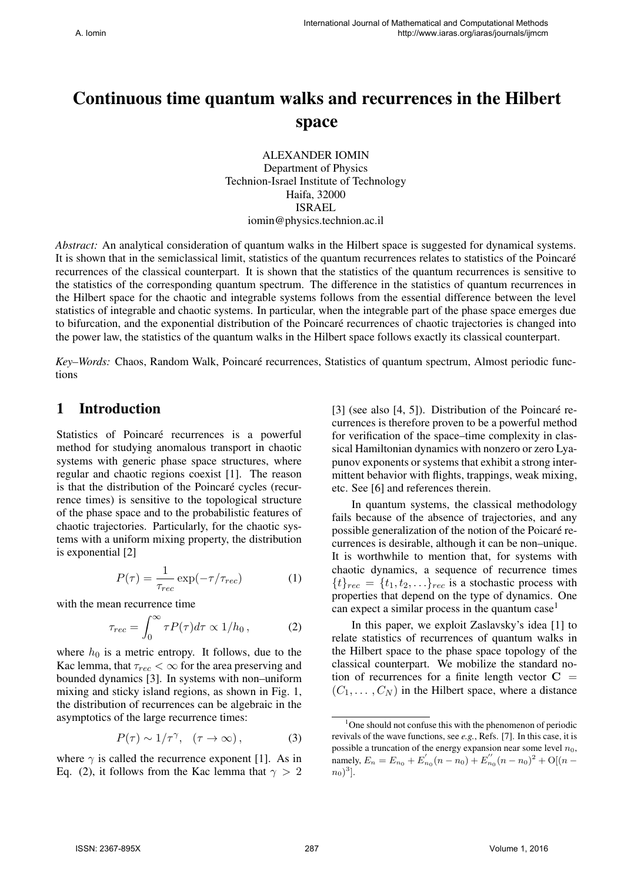# Continuous time quantum walks and recurrences in the Hilbert space

ALEXANDER IOMIN Department of Physics Technion-Israel Institute of Technology Haifa, 32000 ISRAEL iomin@physics.technion.ac.il

*Abstract:* An analytical consideration of quantum walks in the Hilbert space is suggested for dynamical systems. It is shown that in the semiclassical limit, statistics of the quantum recurrences relates to statistics of the Poincaré recurrences of the classical counterpart. It is shown that the statistics of the quantum recurrences is sensitive to the statistics of the corresponding quantum spectrum. The difference in the statistics of quantum recurrences in the Hilbert space for the chaotic and integrable systems follows from the essential difference between the level statistics of integrable and chaotic systems. In particular, when the integrable part of the phase space emerges due to bifurcation, and the exponential distribution of the Poincare recurrences of chaotic trajectories is changed into ´ the power law, the statistics of the quantum walks in the Hilbert space follows exactly its classical counterpart.

*Key–Words:* Chaos, Random Walk, Poincaré recurrences, Statistics of quantum spectrum, Almost periodic functions

### 1 Introduction

Statistics of Poincaré recurrences is a powerful method for studying anomalous transport in chaotic systems with generic phase space structures, where regular and chaotic regions coexist [1]. The reason is that the distribution of the Poincaré cycles (recurrence times) is sensitive to the topological structure of the phase space and to the probabilistic features of chaotic trajectories. Particularly, for the chaotic systems with a uniform mixing property, the distribution is exponential [2]

$$
P(\tau) = \frac{1}{\tau_{rec}} \exp(-\tau/\tau_{rec})
$$
 (1)

with the mean recurrence time

$$
\tau_{rec} = \int_0^\infty \tau P(\tau) d\tau \propto 1/h_0 \,, \tag{2}
$$

where  $h_0$  is a metric entropy. It follows, due to the Kac lemma, that  $\tau_{rec} < \infty$  for the area preserving and bounded dynamics [3]. In systems with non–uniform mixing and sticky island regions, as shown in Fig. 1, the distribution of recurrences can be algebraic in the asymptotics of the large recurrence times:

$$
P(\tau) \sim 1/\tau^{\gamma}, \quad (\tau \to \infty), \tag{3}
$$

where  $\gamma$  is called the recurrence exponent [1]. As in Eq. (2), it follows from the Kac lemma that  $\gamma > 2$ 

[3] (see also  $[4, 5]$ ). Distribution of the Poincaré recurrences is therefore proven to be a powerful method for verification of the space–time complexity in classical Hamiltonian dynamics with nonzero or zero Lyapunov exponents or systems that exhibit a strong intermittent behavior with flights, trappings, weak mixing, etc. See [6] and references therein.

In quantum systems, the classical methodology fails because of the absence of trajectories, and any possible generalization of the notion of the Poicaré recurrences is desirable, although it can be non–unique. It is worthwhile to mention that, for systems with chaotic dynamics, a sequence of recurrence times  ${t}_{rec} = {t_1, t_2, \ldots}_{rec}$  is a stochastic process with properties that depend on the type of dynamics. One can expect a similar process in the quantum case<sup>1</sup>

In this paper, we exploit Zaslavsky's idea [1] to relate statistics of recurrences of quantum walks in the Hilbert space to the phase space topology of the classical counterpart. We mobilize the standard notion of recurrences for a finite length vector  $C =$  $(C_1, \ldots, C_N)$  in the Hilbert space, where a distance

 $1$ One should not confuse this with the phenomenon of periodic revivals of the wave functions, see *e.g.*, Refs. [7]. In this case, it is possible a truncation of the energy expansion near some level  $n_0$ ,  $\lim_{n \to \infty} E_n = E_{n_0} + E'_{n_0}(n - n_0) + E''_{n_0}(n - n_0)^2 + O[(n - 1)$  $(n_0)^3$ ].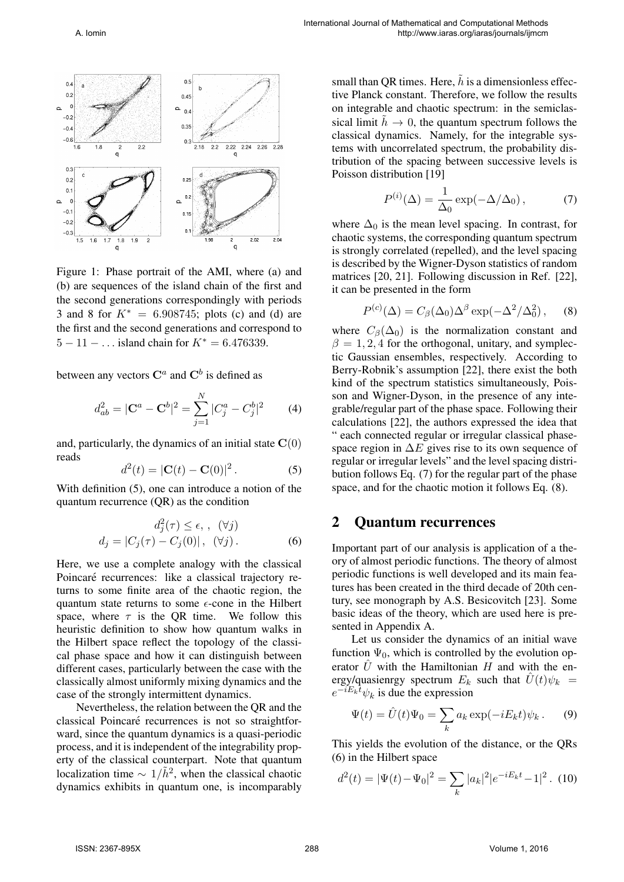

Figure 1: Phase portrait of the AMI, where (a) and (b) are sequences of the island chain of the first and the second generations correspondingly with periods 3 and 8 for *K∗* = 6*.*908745; plots (c) and (d) are the first and the second generations and correspond to 5 *−* 11 *− . . .* island chain for *K∗* = 6*.*476339.

between any vectors  $\mathbf{C}^a$  and  $\mathbf{C}^b$  is defined as

$$
d_{ab}^2 = |\mathbf{C}^a - \mathbf{C}^b|^2 = \sum_{j=1}^N |C_j^a - C_j^b|^2 \tag{4}
$$

and, particularly, the dynamics of an initial state  $C(0)$ reads

$$
d^{2}(t) = |\mathbf{C}(t) - \mathbf{C}(0)|^{2}.
$$
 (5)

With definition (5), one can introduce a notion of the quantum recurrence (QR) as the condition

$$
d_j^2(\tau) \le \epsilon, \quad (\forall j)
$$
  

$$
d_j = |C_j(\tau) - C_j(0)|, \quad (\forall j).
$$
 (6)

Here, we use a complete analogy with the classical Poincaré recurrences: like a classical trajectory returns to some finite area of the chaotic region, the quantum state returns to some *ϵ*-cone in the Hilbert space, where  $\tau$  is the QR time. We follow this heuristic definition to show how quantum walks in the Hilbert space reflect the topology of the classical phase space and how it can distinguish between different cases, particularly between the case with the classically almost uniformly mixing dynamics and the case of the strongly intermittent dynamics.

Nevertheless, the relation between the QR and the classical Poincaré recurrences is not so straightforward, since the quantum dynamics is a quasi-periodic process, and it is independent of the integrability property of the classical counterpart. Note that quantum localization time  $\sim 1/\tilde{h}^2$ , when the classical chaotic dynamics exhibits in quantum one, is incomparably

small than QR times. Here,  $\tilde{h}$  is a dimensionless effective Planck constant. Therefore, we follow the results on integrable and chaotic spectrum: in the semiclassical limit  $\tilde{h} \to 0$ , the quantum spectrum follows the classical dynamics. Namely, for the integrable systems with uncorrelated spectrum, the probability distribution of the spacing between successive levels is Poisson distribution [19]

$$
P^{(i)}(\Delta) = \frac{1}{\Delta_0} \exp(-\Delta/\Delta_0), \qquad (7)
$$

where  $\Delta_0$  is the mean level spacing. In contrast, for chaotic systems, the corresponding quantum spectrum is strongly correlated (repelled), and the level spacing is described by the Wigner-Dyson statistics of random matrices [20, 21]. Following discussion in Ref. [22], it can be presented in the form

$$
P^{(c)}(\Delta) = C_{\beta}(\Delta_0) \Delta^{\beta} \exp(-\Delta^2/\Delta_0^2), \quad (8)
$$

where  $C_\beta(\Delta_0)$  is the normalization constant and  $\beta = 1, 2, 4$  for the orthogonal, unitary, and symplectic Gaussian ensembles, respectively. According to Berry-Robnik's assumption [22], there exist the both kind of the spectrum statistics simultaneously, Poisson and Wigner-Dyson, in the presence of any integrable/regular part of the phase space. Following their calculations [22], the authors expressed the idea that " each connected regular or irregular classical phasespace region in ∆*E* gives rise to its own sequence of regular or irregular levels" and the level spacing distribution follows Eq. (7) for the regular part of the phase space, and for the chaotic motion it follows Eq. (8).

#### 2 Quantum recurrences

*P*

Important part of our analysis is application of a theory of almost periodic functions. The theory of almost periodic functions is well developed and its main features has been created in the third decade of 20th century, see monograph by A.S. Besicovitch [23]. Some basic ideas of the theory, which are used here is presented in Appendix A.

Let us consider the dynamics of an initial wave function  $\Psi_0$ , which is controlled by the evolution operator  $\hat{U}$  with the Hamiltonian *H* and with the energy/quasienrgy spectrum  $E_k$  such that  $\hat{U}(t)\psi_k$  =  $e^{-iE_k t}$ *ψ*<sup>*k*</sup> is due the expression

$$
\Psi(t) = \hat{U}(t)\Psi_0 = \sum_k a_k \exp(-iE_k t)\psi_k.
$$
 (9)

This yields the evolution of the distance, or the QRs (6) in the Hilbert space

$$
d^{2}(t) = |\Psi(t) - \Psi_0|^{2} = \sum_{k} |a_k|^{2} |e^{-iE_k t} - 1|^{2}.
$$
 (10)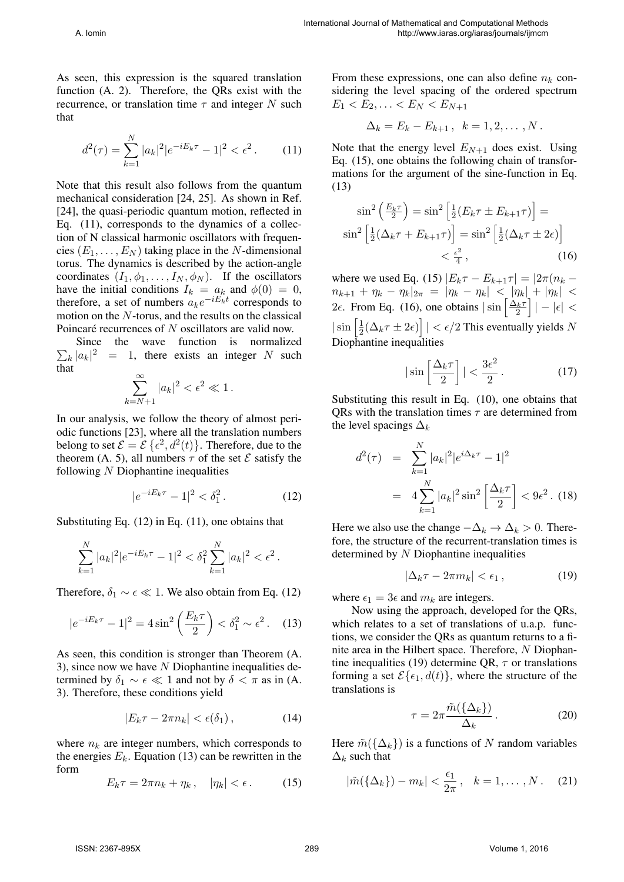As seen, this expression is the squared translation function (A. 2). Therefore, the QRs exist with the recurrence, or translation time *τ* and integer *N* such that

$$
d^{2}(\tau) = \sum_{k=1}^{N} |a_{k}|^{2} |e^{-iE_{k}\tau} - 1|^{2} < \epsilon^{2}.
$$
 (11)

Note that this result also follows from the quantum mechanical consideration [24, 25]. As shown in Ref. [24], the quasi-periodic quantum motion, reflected in Eq. (11), corresponds to the dynamics of a collection of N classical harmonic oscillators with frequencies  $(E_1, \ldots, E_N)$  taking place in the *N*-dimensional torus. The dynamics is described by the action-angle coordinates  $(I_1, \phi_1, \ldots, I_N, \phi_N)$ . If the oscillators have the initial conditions  $I_k = a_k$  and  $\phi(0) = 0$ , therefore, a set of numbers  $a_k e^{-iE_k t}$  corresponds to motion on the *N*-torus, and the results on the classical Poincaré recurrences of N oscillators are valid now.

 $\sum_{k} |a_k|^2 = 1$ , there exists an integer *N* such Since the wave function is normalized that

$$
\sum_{k=N+1}^{\infty} |a_k|^2 < \epsilon^2 \ll 1 \,.
$$

In our analysis, we follow the theory of almost periodic functions [23], where all the translation numbers belong to set  $\mathcal{E} = \mathcal{E} \{ \epsilon^2, d^2(t) \}$ . Therefore, due to the theorem (A. 5), all numbers  $\tau$  of the set  $\mathcal E$  satisfy the following *N* Diophantine inequalities

$$
|e^{-iE_k\tau} - 1|^2 < \delta_1^2. \tag{12}
$$

Substituting Eq. (12) in Eq. (11), one obtains that

$$
\sum_{k=1}^{N} |a_k|^2 |e^{-iE_k \tau} - 1|^2 < \delta_1^2 \sum_{k=1}^{N} |a_k|^2 < \epsilon^2 \, .
$$

Therefore,  $\delta_1 \sim \epsilon \ll 1$ . We also obtain from Eq. (12)

$$
|e^{-iE_k \tau} - 1|^2 = 4\sin^2\left(\frac{E_k \tau}{2}\right) < \delta_1^2 \sim \epsilon^2. \tag{13}
$$

As seen, this condition is stronger than Theorem (A. 3), since now we have *N* Diophantine inequalities determined by  $\delta_1 \sim \epsilon \ll 1$  and not by  $\delta < \pi$  as in (A. 3). Therefore, these conditions yield

$$
|E_k \tau - 2\pi n_k| < \epsilon(\delta_1), \tag{14}
$$

where  $n_k$  are integer numbers, which corresponds to the energies  $E_k$ . Equation (13) can be rewritten in the form

$$
E_k \tau = 2\pi n_k + \eta_k, \quad |\eta_k| < \epsilon. \tag{15}
$$

From these expressions, one can also define  $n_k$  considering the level spacing of the ordered spectrum  $E_1 < E_2, \ldots < E_N < E_{N+1}$ 

$$
\Delta_k = E_k - E_{k+1}, \ \ k = 1, 2, \dots, N.
$$

Note that the energy level  $E_{N+1}$  does exist. Using Eq. (15), one obtains the following chain of transformations for the argument of the sine-function in Eq. (13)

$$
\sin^2\left(\frac{E_k\tau}{2}\right) = \sin^2\left[\frac{1}{2}(E_k\tau \pm E_{k+1}\tau)\right] =
$$

$$
\sin^2\left[\frac{1}{2}(\Delta_k\tau + E_{k+1}\tau)\right] = \sin^2\left[\frac{1}{2}(\Delta_k\tau \pm 2\epsilon)\right]
$$

$$
< \frac{\epsilon^2}{4}, \qquad (16)
$$

where we used Eq. (15)  $|E_k \tau - E_{k+1} \tau| = |2\pi (n_k - \tau)|$  $n_{k+1} + \eta_k - \eta_k|_{2\pi} = |\eta_k - \eta_k| < |\eta_k| + |\eta_k| <$ <sup>2</sup>*ϵ*. From Eq. (16), one obtains *<sup>|</sup>*sin [ ∆*kτ* 2 ] *| − |ϵ| <*  $|\sin\left[\frac{1}{2}\right]$  $\frac{1}{2}(\Delta_k \tau \pm 2\epsilon)$  |  $< \epsilon/2$  This eventually yields *N* Diophantine inequalities

$$
|\sin\left[\frac{\Delta_k \tau}{2}\right]| < \frac{3\epsilon^2}{2}.\tag{17}
$$

Substituting this result in Eq. (10), one obtains that QRs with the translation times *τ* are determined from the level spacings  $\Delta_k$ 

$$
d^{2}(\tau) = \sum_{k=1}^{N} |a_{k}|^{2} |e^{i\Delta_{k}\tau} - 1|^{2}
$$

$$
= 4 \sum_{k=1}^{N} |a_{k}|^{2} \sin^{2} \left[ \frac{\Delta_{k}\tau}{2} \right] < 9\epsilon^{2}. (18)
$$

Here we also use the change  $-\Delta_k \to \Delta_k > 0$ . Therefore, the structure of the recurrent-translation times is determined by *N* Diophantine inequalities

$$
|\Delta_k \tau - 2\pi m_k| < \epsilon_1 \,, \tag{19}
$$

where  $\epsilon_1 = 3\epsilon$  and  $m_k$  are integers.

Now using the approach, developed for the QRs, which relates to a set of translations of u.a.p. functions, we consider the QRs as quantum returns to a finite area in the Hilbert space. Therefore, *N* Diophantine inequalities (19) determine QR, *τ* or translations forming a set  $\mathcal{E}\{\epsilon_1, d(t)\}$ , where the structure of the translations is

$$
\tau = 2\pi \frac{\tilde{m}(\{\Delta_k\})}{\Delta_k}.
$$
\n(20)

Here  $\tilde{m}(\{\Delta_k\})$  is a functions of *N* random variables  $\Delta_k$  such that

$$
|\tilde{m}(\{\Delta_k\}) - m_k| < \frac{\epsilon_1}{2\pi}, \quad k = 1, \dots, N. \tag{21}
$$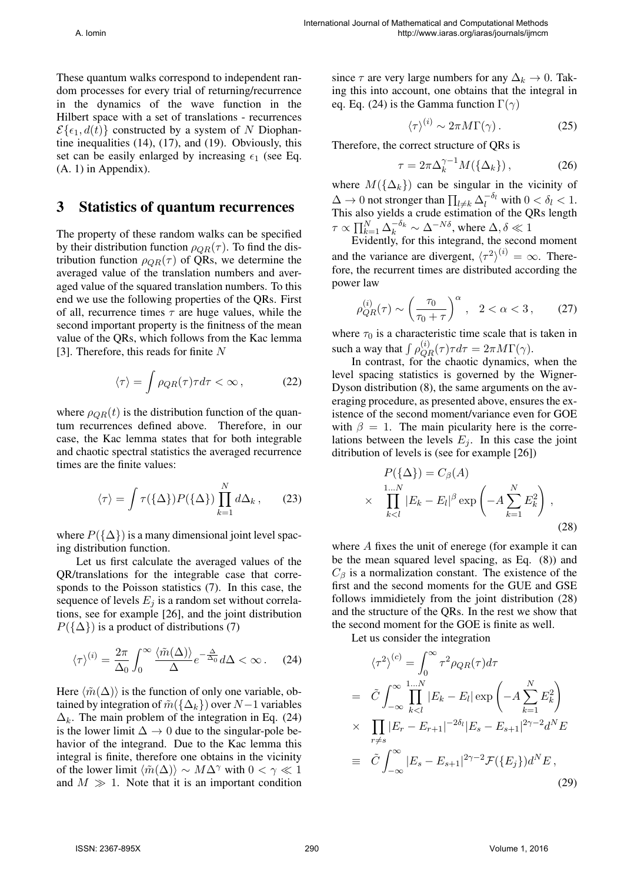These quantum walks correspond to independent random processes for every trial of returning/recurrence in the dynamics of the wave function in the Hilbert space with a set of translations - recurrences  $\mathcal{E}\{\epsilon_1, d(t)\}$  constructed by a system of *N* Diophantine inequalities (14), (17), and (19). Obviously, this set can be easily enlarged by increasing  $\epsilon_1$  (see Eq. (A. 1) in Appendix).

#### 3 Statistics of quantum recurrences

The property of these random walks can be specified by their distribution function  $\rho_{QR}(\tau)$ . To find the distribution function  $\rho_{OR}(\tau)$  of QRs, we determine the averaged value of the translation numbers and averaged value of the squared translation numbers. To this end we use the following properties of the QRs. First of all, recurrence times *τ* are huge values, while the second important property is the finitness of the mean value of the QRs, which follows from the Kac lemma [3]. Therefore, this reads for finite *N*

$$
\langle \tau \rangle = \int \rho_{QR}(\tau) \tau d\tau < \infty \,, \tag{22}
$$

where  $\rho_{QR}(t)$  is the distribution function of the quantum recurrences defined above. Therefore, in our case, the Kac lemma states that for both integrable and chaotic spectral statistics the averaged recurrence times are the finite values:

$$
\langle \tau \rangle = \int \tau(\{\Delta\}) P(\{\Delta\}) \prod_{k=1}^{N} d\Delta_k, \qquad (23)
$$

where  $P({\{\Delta\}})$  is a many dimensional joint level spacing distribution function.

Let us first calculate the averaged values of the QR/translations for the integrable case that corresponds to the Poisson statistics (7). In this case, the sequence of levels  $E_i$  is a random set without correlations, see for example [26], and the joint distribution  $P({\{\Delta\}})$  is a product of distributions (7)

$$
\langle \tau \rangle^{(i)} = \frac{2\pi}{\Delta_0} \int_0^\infty \frac{\langle \tilde{m}(\Delta) \rangle}{\Delta} e^{-\frac{\Delta}{\Delta_0}} d\Delta < \infty. \quad (24)
$$

Here  $\langle \tilde{m}(\Delta) \rangle$  is the function of only one variable, obtained by integration of  $\tilde{m}(\{\Delta_k\})$  over  $N-1$  variables  $\Delta_k$ . The main problem of the integration in Eq. (24) is the lower limit  $\Delta \rightarrow 0$  due to the singular-pole behavior of the integrand. Due to the Kac lemma this integral is finite, therefore one obtains in the vicinity of the lower limit  $\langle \tilde{m}(\Delta) \rangle \sim M \Delta^{\gamma}$  with  $0 < \gamma \ll 1$ and  $M \gg 1$ . Note that it is an important condition

since  $\tau$  are very large numbers for any  $\Delta_k \to 0$ . Taking this into account, one obtains that the integral in eq. Eq. (24) is the Gamma function  $\Gamma(\gamma)$ 

$$
\langle \tau \rangle^{(i)} \sim 2\pi M \Gamma(\gamma). \tag{25}
$$

Therefore, the correct structure of QRs is

$$
\tau = 2\pi \Delta_k^{\gamma - 1} M(\{\Delta_k\}), \qquad (26)
$$

where  $M(\{\Delta_k\})$  can be singular in the vicinity of  $\Delta$  → 0 not stronger than  $\prod_{l \neq k} \Delta_l^{-\delta_l}$  with  $0 < \delta_l < 1$ . This also yields a crude estimation of the QRs length *τ*  $\alpha$   $\prod_{k=1}^{N} \Delta_k^{-\delta_k} \sim \Delta^{-N\delta}$ , where  $\Delta, \delta \ll 1$ 

Evidently, for this integrand, the second moment and the variance are divergent,  $\langle \tau^2 \rangle^{(i)} = \infty$ . Therefore, the recurrent times are distributed according the power law

$$
\rho_{QR}^{(i)}(\tau) \sim \left(\frac{\tau_0}{\tau_0 + \tau}\right)^{\alpha}, \quad 2 < \alpha < 3, \tag{27}
$$

where  $\tau_0$  is a characteristic time scale that is taken in such a way that  $\int \rho_{QR}^{(i)}(\tau) \tau d\tau = 2\pi M \Gamma(\gamma)$ .

In contrast, for the chaotic dynamics, when the level spacing statistics is governed by the Wigner-Dyson distribution (8), the same arguments on the averaging procedure, as presented above, ensures the existence of the second moment/variance even for GOE with  $\beta = 1$ . The main picularity here is the correlations between the levels  $E_j$ . In this case the joint ditribution of levels is (see for example [26])

$$
P(\{\Delta\}) = C_{\beta}(A)
$$
  
 
$$
\times \prod_{k (28)
$$

where *A* fixes the unit of enerege (for example it can be the mean squared level spacing, as Eq. (8)) and  $C_{\beta}$  is a normalization constant. The existence of the first and the second moments for the GUE and GSE follows immidietely from the joint distribution (28) and the structure of the QRs. In the rest we show that the second moment for the GOE is finite as well.

Let us consider the integration

$$
\langle \tau^2 \rangle^{(c)} = \int_0^\infty \tau^2 \rho_{QR}(\tau) d\tau
$$
  
\n
$$
= \tilde{C} \int_{-\infty}^\infty \prod_{k  
\n
$$
\times \prod_{r \neq s} |E_r - E_{r+1}|^{-2\delta_l} |E_s - E_{s+1}|^{2\gamma - 2} d^N E
$$
  
\n
$$
\equiv \tilde{C} \int_{-\infty}^\infty |E_s - E_{s+1}|^{2\gamma - 2} \mathcal{F}(\{E_j\}) d^N E,
$$
\n(29)
$$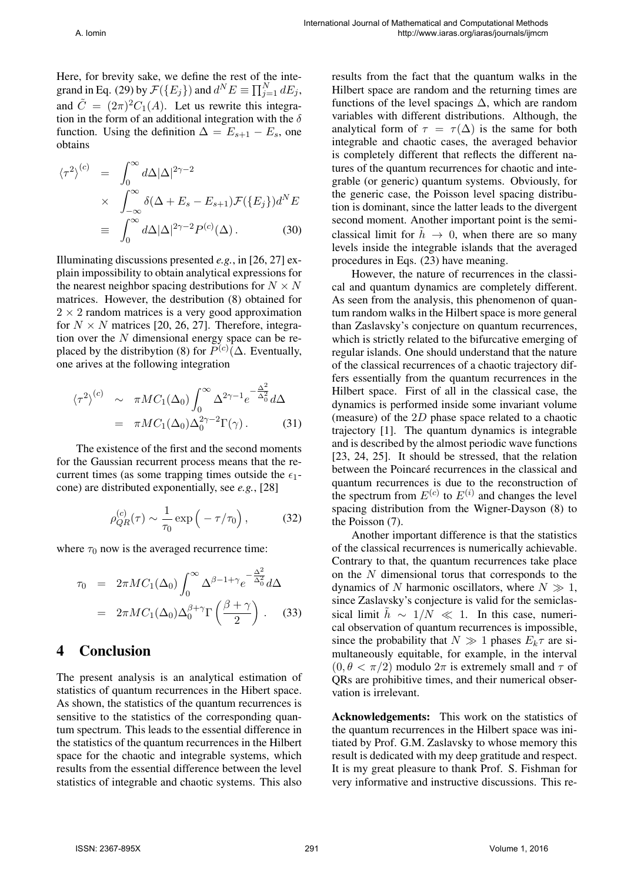Here, for brevity sake, we define the rest of the integrand in Eq. (29) by  $\mathcal{F}(\{E_j\})$  and  $d^N E \equiv \prod_{j=1}^N dE_j$ , and  $\tilde{C} = (2\pi)^2 C_1(A)$ . Let us rewrite this integration in the form of an additional integration with the *δ* function. Using the definition  $\Delta = E_{s+1} - E_s$ , one obtains

$$
\langle \tau^2 \rangle^{(c)} = \int_0^\infty d\Delta |\Delta|^{2\gamma - 2}
$$
  
 
$$
\times \int_{-\infty}^\infty \delta(\Delta + E_s - E_{s+1}) \mathcal{F}(\{E_j\}) d^N E
$$
  
\n
$$
\equiv \int_0^\infty d\Delta |\Delta|^{2\gamma - 2} P^{(c)}(\Delta). \tag{30}
$$

Illuminating discussions presented *e.g.*, in [26, 27] explain impossibility to obtain analytical expressions for the nearest neighbor spacing destributions for  $N \times N$ matrices. However, the destribution (8) obtained for  $2 \times 2$  random matrices is a very good approximation for  $N \times N$  matrices [20, 26, 27]. Therefore, integration over the *N* dimensional energy space can be replaced by the distribytion (8) for  $P^{(c)}(\Delta)$ . Eventually, one arives at the following integration

$$
\langle \tau^2 \rangle^{(c)} \sim \pi M C_1(\Delta_0) \int_0^\infty \Delta^{2\gamma - 1} e^{-\frac{\Delta^2}{\Delta_0^2}} d\Delta
$$
  
=  $\pi M C_1(\Delta_0) \Delta_0^{2\gamma - 2} \Gamma(\gamma)$ . (31)

The existence of the first and the second moments for the Gaussian recurrent process means that the recurrent times (as some trapping times outside the  $\epsilon_1$ cone) are distributed exponentially, see *e.g.*, [28]

$$
\rho_{QR}^{(c)}(\tau) \sim \frac{1}{\tau_0} \exp\left(-\tau/\tau_0\right),\tag{32}
$$

where  $\tau_0$  now is the averaged recurrence time:

$$
\tau_0 = 2\pi M C_1(\Delta_0) \int_0^\infty \Delta^{\beta - 1 + \gamma} e^{-\frac{\Delta^2}{\Delta_0^2}} d\Delta
$$
  
=  $2\pi M C_1(\Delta_0) \Delta_0^{\beta + \gamma} \Gamma\left(\frac{\beta + \gamma}{2}\right)$ . (33)

#### 4 Conclusion

The present analysis is an analytical estimation of statistics of quantum recurrences in the Hibert space. As shown, the statistics of the quantum recurrences is sensitive to the statistics of the corresponding quantum spectrum. This leads to the essential difference in the statistics of the quantum recurrences in the Hilbert space for the chaotic and integrable systems, which results from the essential difference between the level statistics of integrable and chaotic systems. This also

results from the fact that the quantum walks in the Hilbert space are random and the returning times are functions of the level spacings  $\Delta$ , which are random variables with different distributions. Although, the analytical form of  $\tau = \tau(\Delta)$  is the same for both integrable and chaotic cases, the averaged behavior is completely different that reflects the different natures of the quantum recurrences for chaotic and integrable (or generic) quantum systems. Obviously, for the generic case, the Poisson level spacing distribution is dominant, since the latter leads to the divergent second moment. Another important point is the semiclassical limit for  $\tilde{h} \rightarrow 0$ , when there are so many levels inside the integrable islands that the averaged procedures in Eqs. (23) have meaning.

However, the nature of recurrences in the classical and quantum dynamics are completely different. As seen from the analysis, this phenomenon of quantum random walks in the Hilbert space is more general than Zaslavsky's conjecture on quantum recurrences, which is strictly related to the bifurcative emerging of regular islands. One should understand that the nature of the classical recurrences of a chaotic trajectory differs essentially from the quantum recurrences in the Hilbert space. First of all in the classical case, the dynamics is performed inside some invariant volume (measure) of the 2*D* phase space related to a chaotic trajectory [1]. The quantum dynamics is integrable and is described by the almost periodic wave functions [23, 24, 25]. It should be stressed, that the relation between the Poincaré recurrences in the classical and quantum recurrences is due to the reconstruction of the spectrum from  $E^{(c)}$  to  $E^{(i)}$  and changes the level spacing distribution from the Wigner-Dayson (8) to the Poisson (7).

Another important difference is that the statistics of the classical recurrences is numerically achievable. Contrary to that, the quantum recurrences take place on the *N* dimensional torus that corresponds to the dynamics of *N* harmonic oscillators, where  $N \gg 1$ , since Zaslavsky's conjecture is valid for the semiclassical limit  $\hat{h} \sim 1/N \ll 1$ . In this case, numerical observation of quantum recurrences is impossible, since the probability that  $N \gg 1$  phases  $E_k \tau$  are simultaneously equitable, for example, in the interval  $(0, \theta < \pi/2)$  modulo  $2\pi$  is extremely small and  $\tau$  of QRs are prohibitive times, and their numerical observation is irrelevant.

Acknowledgements: This work on the statistics of the quantum recurrences in the Hilbert space was initiated by Prof. G.M. Zaslavsky to whose memory this result is dedicated with my deep gratitude and respect. It is my great pleasure to thank Prof. S. Fishman for very informative and instructive discussions. This re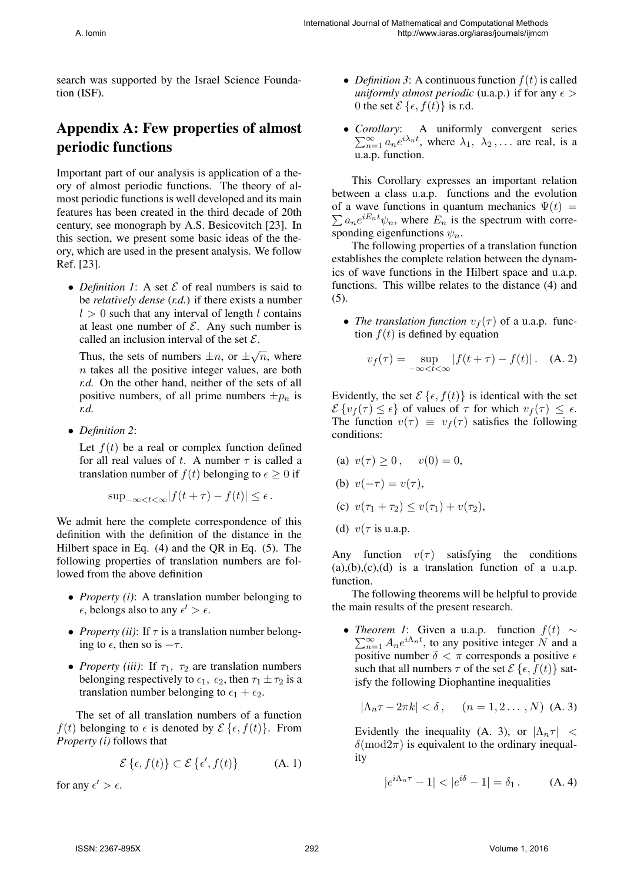search was supported by the Israel Science Foundation (ISF).

## Appendix A: Few properties of almost periodic functions

Important part of our analysis is application of a theory of almost periodic functions. The theory of almost periodic functions is well developed and its main features has been created in the third decade of 20th century, see monograph by A.S. Besicovitch [23]. In this section, we present some basic ideas of the theory, which are used in the present analysis. We follow Ref. [23].

*• Definition 1*: A set *E* of real numbers is said to be *relatively dense* (*r.d.*) if there exists a number  $l > 0$  such that any interval of length *l* contains at least one number of  $\mathcal{E}$ . Any such number is called an inclusion interval of the set *E*.

Thus, the sets of numbers  $\pm n$ , or  $\pm \sqrt{n}$ , where *n* takes all the positive integer values, are both *r.d.* On the other hand, neither of the sets of all positive numbers, of all prime numbers  $\pm p_n$  is *r.d.*

*• Definition 2*:

Let  $f(t)$  be a real or complex function defined for all real values of *t*. A number  $\tau$  is called a translation number of  $f(t)$  belonging to  $\epsilon \geq 0$  if

$$
\sup_{-\infty < t < \infty} |f(t + \tau) - f(t)| \le \epsilon.
$$

We admit here the complete correspondence of this definition with the definition of the distance in the Hilbert space in Eq. (4) and the QR in Eq. (5). The following properties of translation numbers are followed from the above definition

- *• Property (i)*: A translation number belonging to  $\epsilon$ , belongs also to any  $\epsilon' > \epsilon$ .
- *• Property (ii)*: If *τ* is a translation number belonging to  $\epsilon$ , then so is  $-\tau$ .
- *Property (iii)*: If  $\tau_1$ ,  $\tau_2$  are translation numbers belonging respectively to  $\epsilon_1$ ,  $\epsilon_2$ , then  $\tau_1 \pm \tau_2$  is a translation number belonging to  $\epsilon_1 + \epsilon_2$ .

The set of all translation numbers of a function *f*(*t*) belonging to  $\epsilon$  is denoted by  $\mathcal{E}\{\epsilon, f(t)\}\$ . From *Property (i)* follows that

$$
\mathcal{E}\left\{\epsilon, f(t)\right\} \subset \mathcal{E}\left\{\epsilon', f(t)\right\} \tag{A. 1}
$$

for any  $\epsilon' > \epsilon$ .

- *Definition 3*: A continuous function  $f(t)$  is called *uniformly almost periodic* (u.a.p.) if for any  $\epsilon$  > 0 the set  $\mathcal{E}\{\epsilon, f(t)\}\$ is r.d.
- *• Corollary* ∑ : A uniformly convergent series  $\sum_{n=1}^{\infty} a_n e^{i\lambda_n t}$ , where  $\lambda_1, \lambda_2, \ldots$  are real, is a u.a.p. function.

This Corollary expresses an important relation between a class u.a.p. functions and the evolution  $\sum a_n e^{iE_n t} \psi_n$ , where  $E_n$  is the spectrum with correof a wave functions in quantum mechanics  $\Psi(t)$  = sponding eigenfunctions  $\psi_n$ .

The following properties of a translation function establishes the complete relation between the dynamics of wave functions in the Hilbert space and u.a.p. functions. This willbe relates to the distance (4) and (5).

• *The translation function*  $v_f(\tau)$  of a u.a.p. function  $f(t)$  is defined by equation

$$
v_f(\tau) = \sup_{-\infty < t < \infty} |f(t + \tau) - f(t)|.
$$
 (A. 2)

Evidently, the set  $\mathcal{E}\{\epsilon, f(t)\}\$ is identical with the set  $\mathcal{E}\left\{v_f(\tau) \leq \epsilon\right\}$  of values of  $\tau$  for which  $v_f(\tau) \leq \epsilon$ . The function  $v(\tau) \equiv v_f(\tau)$  satisfies the following conditions:

- (a)  $v(\tau) \ge 0$ ,  $v(0) = 0$ ,
- (b)  $v(-\tau) = v(\tau)$ ,
- (c)  $v(\tau_1 + \tau_2) \leq v(\tau_1) + v(\tau_2)$ ,
- (d) *v*(*τ* is u.a.p.

Any function  $v(\tau)$  satisfying the conditions  $(a), (b), (c), (d)$  is a translation function of a u.a.p. function.

The following theorems will be helpful to provide the main results of the present research.

*• Theorem 1* : Given a u.a.p. function *f*(*t*) *∼*  $\sum_{n=1}^{\infty} A_n e^{i \Lambda_n t}$ , to any positive integer *N* and a positive number  $\delta < \pi$  corresponds a positive  $\epsilon$ such that all numbers  $\tau$  of the set  $\mathcal{E}\{\epsilon, f(t)\}\$  satisfy the following Diophantine inequalities

$$
|\Lambda_n \tau - 2\pi k| < \delta \,, \quad (n = 1, 2 \dots, N) \text{ (A. 3)}
$$

Evidently the inequality (A. 3), or  $|\Lambda_n \tau| <$  $\delta$ (mod2 $\pi$ ) is equivalent to the ordinary inequality

$$
|e^{i\Lambda_n \tau} - 1| < |e^{i\delta} - 1| = \delta_1. \tag{A.4}
$$